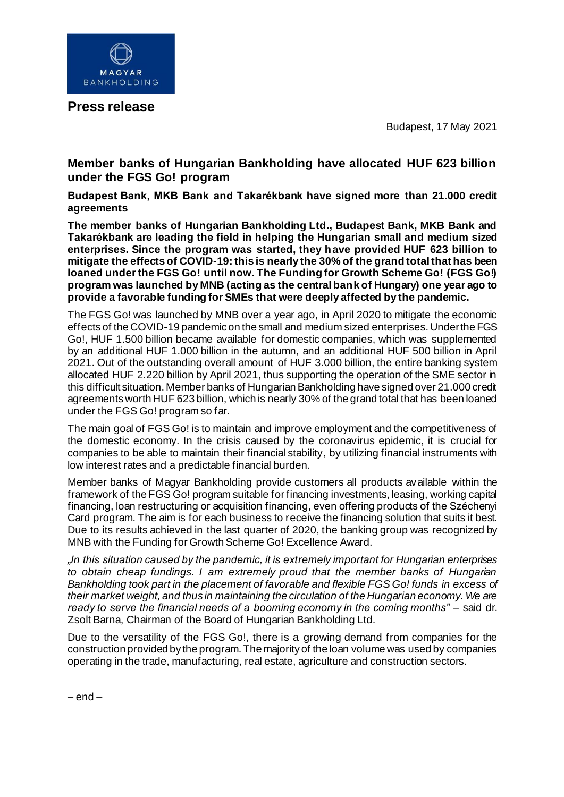

**Press release**

Budapest, 17 May 2021

## **Member banks of Hungarian Bankholding have allocated HUF 623 billion under the FGS Go! program**

**Budapest Bank, MKB Bank and Takarékbank have signed more than 21.000 credit agreements**

**The member banks of Hungarian Bankholding Ltd., Budapest Bank, MKB Bank and Takarékbank are leading the field in helping the Hungarian small and medium sized enterprises. Since the program was started, they have provided HUF 623 billion to mitigate the effects of COVID-19: this is nearly the 30% of the grand total that has been loaned under the FGS Go! until now. The Funding for Growth Scheme Go! (FGS Go!) program was launched by MNB (acting as the central bank of Hungary) one year ago to provide a favorable funding for SMEs that were deeply affected by the pandemic.**

The FGS Go! was launched by MNB over a year ago, in April 2020 to mitigate the economic effects of the COVID-19 pandemic on the small and medium sized enterprises. Under the FGS Go!, HUF 1.500 billion became available for domestic companies, which was supplemented by an additional HUF 1.000 billion in the autumn, and an additional HUF 500 billion in April 2021. Out of the outstanding overall amount of HUF 3.000 billion, the entire banking system allocated HUF 2.220 billion by April 2021, thus supporting the operation of the SME sector in this difficult situation. Member banks of Hungarian Bankholding have signed over 21.000 credit agreements worth HUF 623 billion, which is nearly 30% of the grand total that has been loaned under the FGS Go! program so far.

The main goal of FGS Go! is to maintain and improve employment and the competitiveness of the domestic economy. In the crisis caused by the coronavirus epidemic, it is crucial for companies to be able to maintain their financial stability, by utilizing financial instruments with low interest rates and a predictable financial burden.

Member banks of Magyar Bankholding provide customers all products available within the framework of the FGS Go! program suitable for financing investments, leasing, working capital financing, loan restructuring or acquisition financing, even offering products of the Széchenyi Card program. The aim is for each business to receive the financing solution that suits it best. Due to its results achieved in the last quarter of 2020, the banking group was recognized by MNB with the Funding for Growth Scheme Go! Excellence Award.

*"In this situation caused by the pandemic, it is extremely important for Hungarian enterprises to obtain cheap fundings. I am extremely proud that the member banks of Hungarian Bankholding took part in the placement of favorable and flexible FGS Go! funds in excess of their market weight, and thus in maintaining the circulation of the Hungarian economy. We are*  ready to serve the financial needs of a booming economy in the coming months" – said dr. Zsolt Barna, Chairman of the Board of Hungarian Bankholding Ltd.

Due to the versatility of the FGS Go!, there is a growing demand from companies for the construction provided by the program. The majority of the loan volume was used by companies operating in the trade, manufacturing, real estate, agriculture and construction sectors.

 $-$  end  $-$